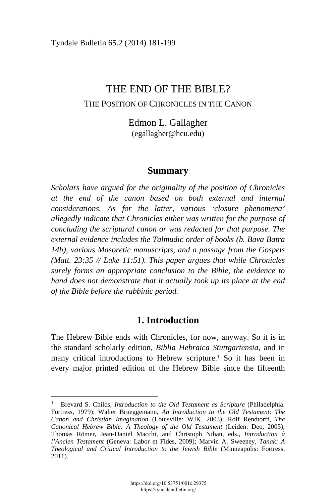# THE END OF THE BIBLE? THE POSITION OF CHRONICLES IN THE CANON

Edmon L. Gallagher ([egallagher@hcu.edu\)](mailto:egallagher@hcu.edu) 

## **Summary**

*Scholars have argued for the originality of the position of Chronicles at the end of the canon based on both external and internal considerations. As for the latter, various 'closure phenomena' allegedly indicate that Chronicles either was written for the purpose of concluding the scriptural canon or was redacted for that purpose. The external evidence includes the Talmudic order of books (b. Bava Batra 14b), various Masoretic manuscripts, and a passage from the Gospels (Matt. 23:35 // Luke 11:51). This paper argues that while Chronicles surely forms an appropriate conclusion to the Bible, the evidence to hand does not demonstrate that it actually took up its place at the end of the Bible before the rabbinic period.* 

# **1. Introduction**

The Hebrew Bible ends with Chronicles, for now, anyway. So it is in the standard scholarly edition, *Biblia Hebraica Stuttgartensia*, and in many critical introductions to Hebrew scripture.<sup>1</sup> So it has been in every major printed edition of the Hebrew Bible since the fifteenth

<sup>&</sup>lt;sup>1</sup> Brevard S. Childs, *Introduction to the Old Testament as Scripture* (Philadelphia: Fortress, 1979); Walter Brueggemann, *An Introduction to the Old Testament: The Canon and Christian Imagination* (Louisville: WJK, 2003); Rolf Rendtorff, *The Canonical Hebrew Bible: A Theology of the Old Testament* (Leiden: Deo, 2005); Thomas Römer, Jean-Daniel Macchi, and Christoph Nihan, eds., *Introduction à l'Ancien Testament* (Geneva: Labor et Fides, 2009); Marvin A. Sweeney, *Tanak: A Theological and Critical Introduction to the Jewish Bible* (Minneapolis: Fortress, 2011).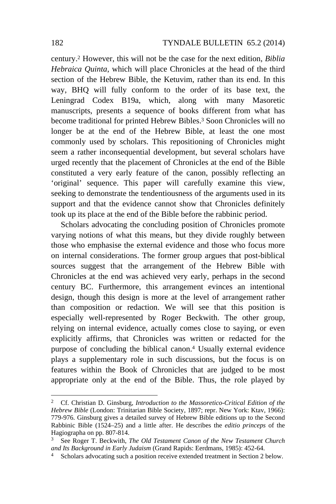century.2 However, this will not be the case for the next edition, *Biblia Hebraica Quinta*, which will place Chronicles at the head of the third section of the Hebrew Bible, the Ketuvim, rather than its end. In this way, BHQ will fully conform to the order of its base text, the Leningrad Codex B19a, which, along with many Masoretic manuscripts, presents a sequence of books different from what has become traditional for printed Hebrew Bibles.3 Soon Chronicles will no longer be at the end of the Hebrew Bible, at least the one most commonly used by scholars. This repositioning of Chronicles might seem a rather inconsequential development, but several scholars have urged recently that the placement of Chronicles at the end of the Bible constituted a very early feature of the canon, possibly reflecting an 'original' sequence. This paper will carefully examine this view, seeking to demonstrate the tendentiousness of the arguments used in its support and that the evidence cannot show that Chronicles definitely took up its place at the end of the Bible before the rabbinic period.

Scholars advocating the concluding position of Chronicles promote varying notions of what this means, but they divide roughly between those who emphasise the external evidence and those who focus more on internal considerations. The former group argues that post-biblical sources suggest that the arrangement of the Hebrew Bible with Chronicles at the end was achieved very early, perhaps in the second century BC. Furthermore, this arrangement evinces an intentional design, though this design is more at the level of arrangement rather than composition or redaction. We will see that this position is especially well-represented by Roger Beckwith. The other group, relying on internal evidence, actually comes close to saying, or even explicitly affirms, that Chronicles was written or redacted for the purpose of concluding the biblical canon.4 Usually external evidence plays a supplementary role in such discussions, but the focus is on features within the Book of Chronicles that are judged to be most appropriate only at the end of the Bible. Thus, the role played by

<sup>2</sup> Cf. Christian D. Ginsburg, *Introduction to the Massoretico-Critical Edition of the Hebrew Bible* (London: Trinitarian Bible Society, 1897; repr. New York: Ktav, 1966): 779-976. Ginsburg gives a detailed survey of Hebrew Bible editions up to the Second Rabbinic Bible (1524–25) and a little after. He describes the *editio princeps* of the Hagiographa on pp. 807-814.

<sup>3</sup> See Roger T. Beckwith, *The Old Testament Canon of the New Testament Church and Its Background in Early Judaism* (Grand Rapids: Eerdmans, 1985): 452-64. 4 Scholars advocating such a position receive extended treatment in Section 2 below.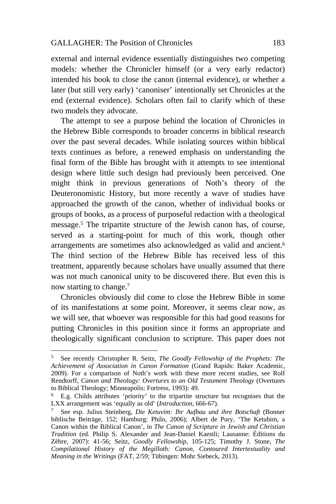external and internal evidence essentially distinguishes two competing models: whether the Chronicler himself (or a very early redactor) intended his book to close the canon (internal evidence), or whether a later (but still very early) 'canoniser' intentionally set Chronicles at the end (external evidence). Scholars often fail to clarify which of these two models they advocate.

The attempt to see a purpose behind the location of Chronicles in the Hebrew Bible corresponds to broader concerns in biblical research over the past several decades. While isolating sources within biblical texts continues as before, a renewed emphasis on understanding the final form of the Bible has brought with it attempts to see intentional design where little such design had previously been perceived. One might think in previous generations of Noth's theory of the Deuteronomistic History, but more recently a wave of studies have approached the growth of the canon, whether of individual books or groups of books, as a process of purposeful redaction with a theological message.5 The tripartite structure of the Jewish canon has, of course, served as a starting-point for much of this work, though other arrangements are sometimes also acknowledged as valid and ancient.6 The third section of the Hebrew Bible has received less of this treatment, apparently because scholars have usually assumed that there was not much canonical unity to be discovered there. But even this is now starting to change.7

Chronicles obviously did come to close the Hebrew Bible in some of its manifestations at some point. Moreover, it seems clear now, as we will see, that whoever was responsible for this had good reasons for putting Chronicles in this position since it forms an appropriate and theologically significant conclusion to scripture. This paper does not

<sup>5</sup> See recently Christopher R. Seitz, *The Goodly Fellowship of the Prophets: The Achievement of Association in Canon Formation* (Grand Rapids: Baker Academic, 2009). For a comparison of Noth's work with these more recent studies, see Rolf Rendtorff, *Canon and Theology: Overtures to an Old Testament Theology* (Overtures to Biblical Theology; Minneapolis: Fortress, 1993): 49.

<sup>6</sup> E.g. Childs attributes 'priority' to the tripartite structure but recognises that the LXX arrangement was 'equally as old' (*Introduction*, 666-67). 7 See esp. Julius Steinberg, *Die Ketuvim: Ihr Aufbau und ihre Botschaft* (Bonner

biblische Beiträge, 152; Hamburg: Philo, 2006); Albert de Pury, 'The Ketubim, a Canon within the Biblical Canon', in *The Canon of Scripture in Jewish and Christian Tradition* (ed. Philip S. Alexander and Jean-Daniel Kaestli; Lausanne: Éditions du Zèbre, 2007): 41-56; Seitz, *Goodly Fellowship*, 105-125; Timothy J. Stone, *The Compilational History of the Megilloth: Canon, Contoured Intertextuality and Meaning in the Writings* (FAT, 2/59; Tübingen: Mohr Siebeck, 2013).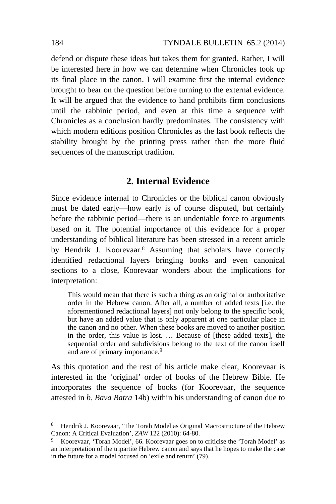defend or dispute these ideas but takes them for granted. Rather, I will be interested here in how we can determine when Chronicles took up its final place in the canon. I will examine first the internal evidence brought to bear on the question before turning to the external evidence. It will be argued that the evidence to hand prohibits firm conclusions until the rabbinic period, and even at this time a sequence with Chronicles as a conclusion hardly predominates. The consistency with which modern editions position Chronicles as the last book reflects the stability brought by the printing press rather than the more fluid sequences of the manuscript tradition.

## **2. Internal Evidence**

Since evidence internal to Chronicles or the biblical canon obviously must be dated early—how early is of course disputed, but certainly before the rabbinic period—there is an undeniable force to arguments based on it. The potential importance of this evidence for a proper understanding of biblical literature has been stressed in a recent article by Hendrik J. Koorevaar.8 Assuming that scholars have correctly identified redactional layers bringing books and even canonical sections to a close, Koorevaar wonders about the implications for interpretation:

This would mean that there is such a thing as an original or authoritative order in the Hebrew canon. After all, a number of added texts [i.e. the aforementioned redactional layers] not only belong to the specific book, but have an added value that is only apparent at one particular place in the canon and no other. When these books are moved to another position in the order, this value is lost. … Because of [these added texts], the sequential order and subdivisions belong to the text of the canon itself and are of primary importance.<sup>9</sup>

As this quotation and the rest of his article make clear, Koorevaar is interested in the 'original' order of books of the Hebrew Bible. He incorporates the sequence of books (for Koorevaar, the sequence attested in *b. Bava Batra* 14b) within his understanding of canon due to

<sup>&</sup>lt;sup>8</sup> Hendrik J. Koorevaar, 'The Torah Model as Original Macrostructure of the Hebrew Canon: A Critical Evaluation',  $ZAW$  122 (2010): 64-80.

Koorevaar, 'Torah Model', 66. Koorevaar goes on to criticise the 'Torah Model' as an interpretation of the tripartite Hebrew canon and says that he hopes to make the case in the future for a model focused on 'exile and return' (79).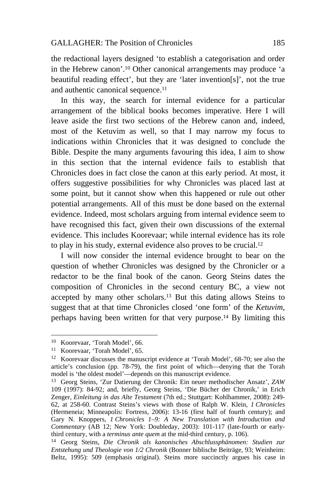the redactional layers designed 'to establish a categorisation and order in the Hebrew canon'.10 Other canonical arrangements may produce 'a beautiful reading effect', but they are 'later invention[s]', not the true and authentic canonical sequence.<sup>11</sup>

In this way, the search for internal evidence for a particular arrangement of the biblical books becomes imperative. Here I will leave aside the first two sections of the Hebrew canon and, indeed, most of the Ketuvim as well, so that I may narrow my focus to indications within Chronicles that it was designed to conclude the Bible. Despite the many arguments favouring this idea, I aim to show in this section that the internal evidence fails to establish that Chronicles does in fact close the canon at this early period. At most, it offers suggestive possibilities for why Chronicles was placed last at some point, but it cannot show when this happened or rule out other potential arrangements. All of this must be done based on the external evidence. Indeed, most scholars arguing from internal evidence seem to have recognised this fact, given their own discussions of the external evidence. This includes Koorevaar; while internal evidence has its role to play in his study, external evidence also proves to be crucial.12

I will now consider the internal evidence brought to bear on the question of whether Chronicles was designed by the Chronicler or a redactor to be the final book of the canon. Georg Steins dates the composition of Chronicles in the second century BC, a view not accepted by many other scholars.13 But this dating allows Steins to suggest that at that time Chronicles closed 'one form' of the *Ketuvim*, perhaps having been written for that very purpose.14 By limiting this

<sup>10</sup> Koorevaar, 'Torah Model', 66.

<sup>11</sup> Koorevaar, 'Torah Model', 65.

<sup>12</sup> Koorevaar discusses the manuscript evidence at 'Torah Model', 68-70; see also the article's conclusion (pp. 78-79), the first point of which—denying that the Torah model is 'the oldest model'—depends on this manuscript evidence.<br><sup>13</sup> Georg Steins, 'Zur Datierung der Chronik: Ein neuer methodischer Ansatz', *ZAW* 

<sup>109 (1997): 84-92;</sup> and, briefly, Georg Steins, 'Die Bücher der Chronik,' in Erich Zenger, *Einleitung in das Alte Testament* (7th ed.; Stuttgart: Kohlhammer, 2008): 249- 62, at 258-60. Contrast Steins's views with those of Ralph W. Klein, *1 Chronicles* (Hermeneia; Minneapolis: Fortress, 2006): 13-16 (first half of fourth century); and Gary N. Knoppers, *1 Chronicles 1–9: A New Translation with Introduction and Commentary* (AB 12; New York: Doubleday, 2003): 101-117 (late-fourth or early-<br>third century, with a *terminus ante quem* at the mid-third century, p. 106).

<sup>&</sup>lt;sup>14</sup> Georg Steins, Die Chronik als kanonisches Abschlussphänomen: Studien zur *Entstehung und Theologie von 1/2 Chronik* (Bonner biblische Beiträge, 93; Weinheim: Beltz, 1995): 509 (emphasis original). Steins more succinctly argues his case in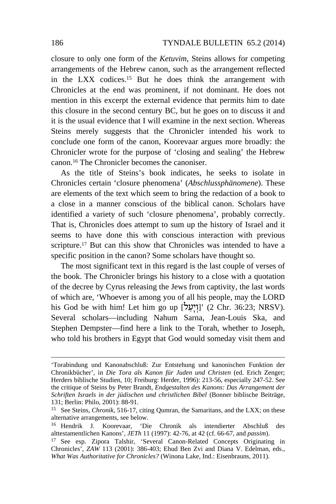closure to only one form of the *Ketuvim*, Steins allows for competing arrangements of the Hebrew canon, such as the arrangement reflected in the LXX codices.15 But he does think the arrangement with Chronicles at the end was prominent, if not dominant. He does not mention in this excerpt the external evidence that permits him to date this closure in the second century BC, but he goes on to discuss it and it is the usual evidence that I will examine in the next section. Whereas Steins merely suggests that the Chronicler intended his work to conclude one form of the canon, Koorevaar argues more broadly: the Chronicler wrote for the purpose of 'closing and sealing' the Hebrew canon.16 The Chronicler becomes the canoniser.

As the title of Steins's book indicates, he seeks to isolate in Chronicles certain 'closure phenomena' (*Abschlussphänomene*). These are elements of the text which seem to bring the redaction of a book to a close in a manner conscious of the biblical canon. Scholars have identified a variety of such 'closure phenomena', probably correctly. That is, Chronicles does attempt to sum up the history of Israel and it seems to have done this with conscious interaction with previous scripture.<sup>17</sup> But can this show that Chronicles was intended to have a specific position in the canon? Some scholars have thought so.

The most significant text in this regard is the last couple of verses of the book. The Chronicler brings his history to a close with a quotation of the decree by Cyrus releasing the Jews from captivity, the last words of which are, 'Whoever is among you of all his people, may the LORD his God be with him! Let him go up [עֲיָעֲל]' (2 Chr. 36:23; NRSV). Several scholars—including Nahum Sarna, Jean-Louis Ska, and Stephen Dempster—find here a link to the Torah, whether to Joseph, who told his brothers in Egypt that God would someday visit them and

<sup>&#</sup>x27;Torabindung und Kanonabschluß: Zur Entstehung und kanonischen Funktion der Chronikbücher', in *Die Tora als Kanon für Juden und Christen* (ed. Erich Zenger; Herders biblische Studien, 10; Freiburg: Herder, 1996): 213-56, especially 247-52. See the critique of Steins by Peter Brandt, *Endgestalten des Kanons: Das Arrangement der Schriften Israels in der jüdischen und christlichen Bibel* (Bonner biblische Beiträge, 131; Berlin: Philo, 2001): 88-91.

<sup>15</sup> See Steins, *Chronik*, 516-17, citing Qumran, the Samaritans, and the LXX; on these alternative arrangements, see below.

<sup>16</sup> Hendrik J. Koorevaar, 'Die Chronik als intendierter Abschluß des alttestamentlichen Kanons', *JETh* 11 (1997): 42-76, at 42 (cf. 66-67, and *passim*). 17 See esp. Zipora Talshir, 'Several Canon-Related Concepts Originating in

Chronicles', *ZAW* 113 (2001): 386-403; Ehud Ben Zvi and Diana V. Edelman, eds., *What Was Authoritative for Chronicles?* (Winona Lake, Ind.: Eisenbrauns, 2011).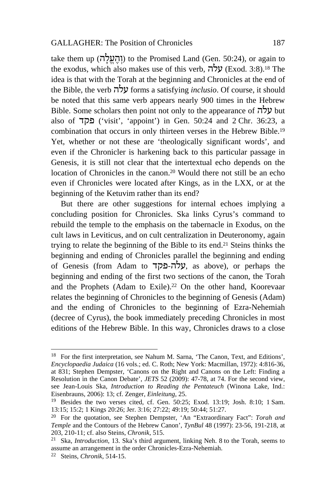take them up (והעלה) to the Promised Land (Gen. 50:24), or again to the exodus, which also makes use of this verb,  $\vec{v}$ עלה) (Exod. 3:8).<sup>18</sup> The idea is that with the Torah at the beginning and Chronicles at the end of the Bible, the verb עלה forms a satisfying *inclusio*. Of course, it should be noted that this same verb appears nearly 900 times in the Hebrew Bible. Some scholars then point not only to the appearance of עלה but also of פקד') visit', 'appoint') in Gen. 50:24 and 2 Chr. 36:23, a combination that occurs in only thirteen verses in the Hebrew Bible.19 Yet, whether or not these are 'theologically significant words', and even if the Chronicler is harkening back to this particular passage in Genesis, it is still not clear that the intertextual echo depends on the location of Chronicles in the canon.20 Would there not still be an echo even if Chronicles were located after Kings, as in the LXX, or at the beginning of the Ketuvim rather than its end?

But there are other suggestions for internal echoes implying a concluding position for Chronicles. Ska links Cyrus's command to rebuild the temple to the emphasis on the tabernacle in Exodus, on the cult laws in Leviticus, and on cult centralization in Deuteronomy, again trying to relate the beginning of the Bible to its end.21 Steins thinks the beginning and ending of Chronicles parallel the beginning and ending of Genesis (from Adam to פקד-עלה, as above), or perhaps the beginning and ending of the first two sections of the canon, the Torah and the Prophets (Adam to Exile).<sup>22</sup> On the other hand, Koorevaar relates the beginning of Chronicles to the beginning of Genesis (Adam) and the ending of Chronicles to the beginning of Ezra-Nehemiah (decree of Cyrus), the book immediately preceding Chronicles in most editions of the Hebrew Bible. In this way, Chronicles draws to a close

<sup>18</sup> For the first interpretation, see Nahum M. Sarna, 'The Canon, Text, and Editions', *Encyclopaedia Judaica* (16 vols.; ed. C. Roth; New York: Macmillan, 1972): 4:816-36, at 831; Stephen Dempster, 'Canons on the Right and Canons on the Left: Finding a Resolution in the Canon Debate', *JETS* 52 (2009): 47-78, at 74. For the second view, see Jean-Louis Ska, *Introduction to Reading the Pentateuch* (Winona Lake, Ind.: Eisenbrauns, 2006): 13; cf. Zenger, *Einleitung*, 25.

<sup>&</sup>lt;sup>19</sup> Besides the two verses cited, cf. Gen. 50:25; Exod. 13:19; Josh. 8:10; 1 Sam. 13:15; 15:2; 1 Kings 20:26; Jer. 3:16; 27:22; 49:19; 50:44; 51:27.

<sup>&</sup>lt;sup>20</sup> For the quotation, see Stephen Dempster, 'An "Extraordinary Fact": *Torah and Temple* and the Contours of the Hebrew Canon', *TynBul* 48 (1997): 23-56, 191-218, at 203, 210-11; cf. also Steins, *Chronik*, 515. 21 Ska, *Introduction*, 13. Ska's third argument, linking Neh. 8 to the Torah, seems to

assume an arrangement in the order Chronicles-Ezra-Nehemiah.

<sup>22</sup> Steins, *Chronik*, 514-15.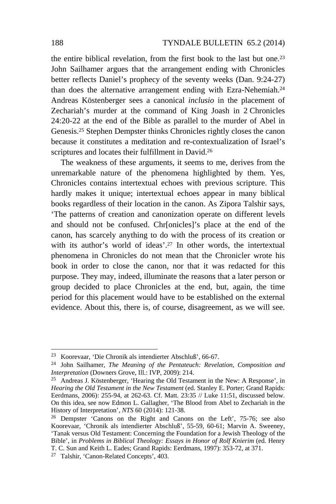the entire biblical revelation, from the first book to the last but one.23 John Sailhamer argues that the arrangement ending with Chronicles better reflects Daniel's prophecy of the seventy weeks (Dan. 9:24-27) than does the alternative arrangement ending with Ezra-Nehemiah.<sup>24</sup> Andreas Köstenberger sees a canonical *inclusio* in the placement of Zechariah's murder at the command of King Joash in 2 Chronicles 24:20-22 at the end of the Bible as parallel to the murder of Abel in Genesis.25 Stephen Dempster thinks Chronicles rightly closes the canon because it constitutes a meditation and re-contextualization of Israel's scriptures and locates their fulfillment in David.<sup>26</sup>

The weakness of these arguments, it seems to me, derives from the unremarkable nature of the phenomena highlighted by them. Yes, Chronicles contains intertextual echoes with previous scripture. This hardly makes it unique; intertextual echoes appear in many biblical books regardless of their location in the canon. As Zipora Talshir says, 'The patterns of creation and canonization operate on different levels and should not be confused. Chr[onicles]'s place at the end of the canon, has scarcely anything to do with the process of its creation or with its author's world of ideas'.<sup>27</sup> In other words, the intertextual phenomena in Chronicles do not mean that the Chronicler wrote his book in order to close the canon, nor that it was redacted for this purpose. They may, indeed, illuminate the reasons that a later person or group decided to place Chronicles at the end, but, again, the time period for this placement would have to be established on the external evidence. About this, there is, of course, disagreement, as we will see.

<sup>23</sup> Koorevaar, 'Die Chronik als intendierter Abschluß', 66-67.

<sup>24</sup> John Sailhamer, *The Meaning of the Pentateuch: Revelation, Composition and* 

<sup>&</sup>lt;sup>25</sup> Andreas J. Köstenberger, 'Hearing the Old Testament in the New: A Response', in *Hearing the Old Testament in the New Testament* (ed. Stanley E. Porter; Grand Rapids: Eerdmans, 2006): 255-94, at 262-63. Cf. Matt. 23:35 // Luke 11:51, discussed below. On this idea, see now Edmon L. Gallagher, 'The Blood from Abel to Zechariah in the History of Interpretation', NTS 60 (2014): 121-38.

<sup>&</sup>lt;sup>26</sup> Dempster 'Canons on the Right and Canons on the Left', 75-76; see also Koorevaar, 'Chronik als intendierter Abschluß', 55-59, 60-61; Marvin A. Sweeney, 'Tanak versus Old Testament: Concerning the Foundation for a Jewish Theology of the Bible', in *Problems in Biblical Theology: Essays in Honor of Rolf Knierim* (ed. Henry T. C. Sun and Keith L. Eades; Grand Rapids: Eerdmans, 1997): 353-72, at 371. 27 Talshir, 'Canon-Related Concepts', 403.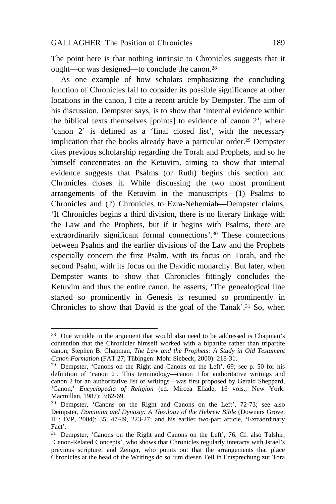The point here is that nothing intrinsic to Chronicles suggests that it ought—or was designed—to conclude the canon.28

As one example of how scholars emphasizing the concluding function of Chronicles fail to consider its possible significance at other locations in the canon, I cite a recent article by Dempster. The aim of his discussion, Dempster says, is to show that 'internal evidence within the biblical texts themselves [points] to evidence of canon 2', where 'canon 2' is defined as a 'final closed list', with the necessary implication that the books already have a particular order.29 Dempster cites previous scholarship regarding the Torah and Prophets, and so he himself concentrates on the Ketuvim, aiming to show that internal evidence suggests that Psalms (or Ruth) begins this section and Chronicles closes it. While discussing the two most prominent arrangements of the Ketuvim in the manuscripts—(1) Psalms to Chronicles and (2) Chronicles to Ezra-Nehemiah—Dempster claims, 'If Chronicles begins a third division, there is no literary linkage with the Law and the Prophets, but if it begins with Psalms, there are extraordinarily significant formal connections'.30 These connections between Psalms and the earlier divisions of the Law and the Prophets especially concern the first Psalm, with its focus on Torah, and the second Psalm, with its focus on the Davidic monarchy. But later, when Dempster wants to show that Chronicles fittingly concludes the Ketuvim and thus the entire canon, he asserts, 'The genealogical line started so prominently in Genesis is resumed so prominently in Chronicles to show that David is the goal of the Tanak'.31 So, when

<sup>28</sup> One wrinkle in the argument that would also need to be addressed is Chapman's contention that the Chronicler himself worked with a bipartite rather than tripartite canon; Stephen B. Chapman, *The Law and the Prophets: A Study in Old Testament Canon Formation* (FAT 27; Tübingen: Mohr Siebeck, 2000): 218-31.

<sup>&</sup>lt;sup>29</sup> Dempster, 'Canons on the Right and Canons on the Left',  $69$ ; see p. 50 for his definition of 'canon 2'. This terminology—canon 1 for authoritative writings and canon 2 for an authoritative list of writings—was first proposed by Gerald Sheppard, 'Canon,' *Encyclopedia of Religion* (ed. Mircea Eliade; 16 vols.; New York: Macmillan, 1987): 3:62-69.<br><sup>30</sup> Dempster, 'Canons on the Right and Canons on the Left', 72-73; see also

Dempster, *Dominion and Dynasty: A Theology of the Hebrew Bible* (Downers Grove, Ill.: IVP, 2004): 35, 47-49, 223-27; and his earlier two-part article, 'Extraordinary Fact'.

<sup>&</sup>lt;sup>31</sup> Dempster, 'Canons on the Right and Canons on the Left', 76. Cf. also Talshir, 'Canon-Related Concepts', who shows that Chronicles regularly interacts with Israel's previous scripture; and Zenger, who points out that the arrangements that place Chronicles at the head of the Writings do so 'um diesen Teil in Entsprechung zur Tora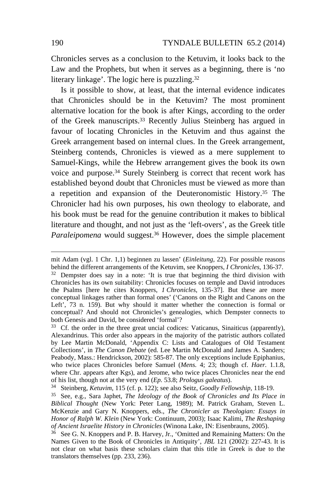Chronicles serves as a conclusion to the Ketuvim, it looks back to the Law and the Prophets, but when it serves as a beginning, there is 'no literary linkage'. The logic here is puzzling.32

Is it possible to show, at least, that the internal evidence indicates that Chronicles should be in the Ketuvim? The most prominent alternative location for the book is after Kings, according to the order of the Greek manuscripts.33 Recently Julius Steinberg has argued in favour of locating Chronicles in the Ketuvim and thus against the Greek arrangement based on internal clues. In the Greek arrangement, Steinberg contends, Chronicles is viewed as a mere supplement to Samuel-Kings, while the Hebrew arrangement gives the book its own voice and purpose.34 Surely Steinberg is correct that recent work has established beyond doubt that Chronicles must be viewed as more than a repetition and expansion of the Deuteronomistic History.35 The Chronicler had his own purposes, his own theology to elaborate, and his book must be read for the genuine contribution it makes to biblical literature and thought, and not just as the 'left-overs', as the Greek title *Paraleipomena* would suggest.36 However, does the simple placement

mit Adam (vgl. 1 Chr. 1,1) beginnen zu lassen' (*Einleitung*, 22). For possible reasons behind the different arrangements of the Ketuvim, see Knoppers, *I Chronicles*, 136-37. <sup>32</sup> Dempster does say in a note: 'It is true that beginning the third division with Chronicles has its own suitability: Chronicles focuses on temple and David introduces the Psalms [here he cites Knoppers, *1 Chronicles*, 135-37]. But these are more conceptual linkages rather than formal ones' ('Canons on the Right and Canons on the Left', 73 n. 159). But why should it matter whether the connection is formal or conceptual? And should not Chronicles's genealogies, which Dempster connects to

 $33$  Cf. the order in the three great uncial codices: Vaticanus, Sinaiticus (apparently), Alexandrinus. This order also appears in the majority of the patristic authors collated by Lee Martin McDonald, 'Appendix C: Lists and Catalogues of Old Testament Collections', in *The Canon Debate* (ed. Lee Martin McDonald and James A. Sanders; Peabody, Mass.: Hendrickson, 2002): 585-87. The only exceptions include Epiphanius, who twice places Chronicles before Samuel (*Mens.* 4; 23; though cf. *Haer.* 1.1.8, where Chr. appears after Kgs), and Jerome, who twice places Chronicles near the end of his list, though not at the very end (*Ep.* 53.8; *Prologus galeatus*).<br><sup>34</sup> Steinberg, *Ketuvim*, 115 (cf. p. 122); see also Seitz, *Goodly Fellowship*, 118-19.<br><sup>35</sup> See, e.g., Sara Japhet, *The Ideology of the Book of* 

*Biblical Thought* (New York: Peter Lang, 1989); M. Patrick Graham, Steven L. McKenzie and Gary N. Knoppers, eds., *The Chronicler as Theologian: Essays in Honor of Ralph W. Klein* (New York: Continuum, 2003); Isaac Kalimi, *The Reshaping of Ancient Israelite History in Chronicles* (Winona Lake, IN: Eisenbrauns, 2005). 36 See G. N. Knoppers and P. B. Harvey, Jr., 'Omitted and Remaining Matters: On the

Names Given to the Book of Chronicles in Antiquity', *JBL* 121 (2002): 227-43. It is not clear on what basis these scholars claim that this title in Greek is due to the translators themselves (pp. 233, 236).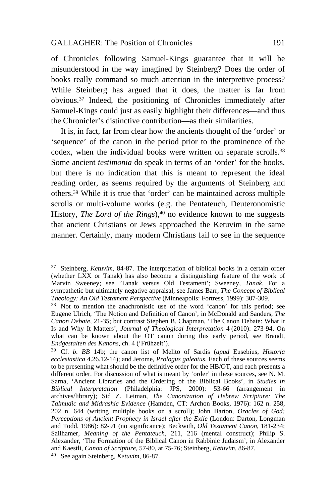$\overline{a}$ 

of Chronicles following Samuel-Kings guarantee that it will be misunderstood in the way imagined by Steinberg? Does the order of books really command so much attention in the interpretive process? While Steinberg has argued that it does, the matter is far from obvious.37 Indeed, the positioning of Chronicles immediately after Samuel-Kings could just as easily highlight their differences—and thus the Chronicler's distinctive contribution—as their similarities.

It is, in fact, far from clear how the ancients thought of the 'order' or 'sequence' of the canon in the period prior to the prominence of the codex, when the individual books were written on separate scrolls.<sup>38</sup> Some ancient *testimonia* do speak in terms of an 'order' for the books, but there is no indication that this is meant to represent the ideal reading order, as seems required by the arguments of Steinberg and others.39 While it is true that 'order' can be maintained across multiple scrolls or multi-volume works (e.g. the Pentateuch, Deuteronomistic History, *The Lord of the Rings*),<sup>40</sup> no evidence known to me suggests that ancient Christians or Jews approached the Ketuvim in the same manner. Certainly, many modern Christians fail to see in the sequence

<sup>37</sup> Steinberg, *Ketuvim*, 84-87. The interpretation of biblical books in a certain order (whether LXX or Tanak) has also become a distinguishing feature of the work of Marvin Sweeney; see 'Tanak versus Old Testament'; Sweeney, *Tanak*. For a sympathetic but ultimately negative appraisal, see James Barr, *The Concept of Biblical Theology: An Old Testament Perspective* (Minneapolis: Fortress, 1999): 307-309.<br><sup>38</sup> Not to mention the anachronistic use of the word 'canon' for this period; see

Eugene Ulrich, 'The Notion and Definition of Canon', in McDonald and Sanders, *The Canon Debate*, 21-35; but contrast Stephen B. Chapman, 'The Canon Debate: What It Is and Why It Matters', *Journal of Theological Interpretation* 4 (2010): 273-94. On what can be known about the OT canon during this early period, see Brandt, *Endgestalten des Kanons*, ch. 4 ('Frühzeit').

<sup>39</sup> Cf. *b. BB* 14b; the canon list of Melito of Sardis (*apud* Eusebius, *Historia ecclesiastica* 4.26.12-14); and Jerome, *Prologus galeatus*. Each of these sources seems to be presenting what should be the definitive order for the HB/OT, and each presents a different order. For discussion of what is meant by 'order' in these sources, see N. M. Sarna, 'Ancient Libraries and the Ordering of the Biblical Books', in *Studies in Biblical Interpretation* (Philadelphia: JPS, 2000): 53-66 (arrangement in archives/library); Sid Z. Leiman, *The Canonization of Hebrew Scripture: The Talmudic and Midrashic Evidence* (Hamden, CT: Archon Books, 1976): 162 n. 258, 202 n. 644 (writing multiple books on a scroll); John Barton, *Oracles of God: Perceptions of Ancient Prophecy in Israel after the Exile* (London: Darton, Longman and Todd, 1986): 82-91 (no significance); Beckwith, *Old Testament Canon*, 181-234; Sailhamer, *Meaning of the Pentateuch*, 211, 216 (mental construct); Philip S. Alexander, 'The Formation of the Biblical Canon in Rabbinic Judaism', in Alexander and Kaestli, *Canon of Scripture*, 57-80, at 75-76; Steinberg, *Ketuvim*, 86-87. 40 See again Steinberg, *Ketuvim*, 86-87.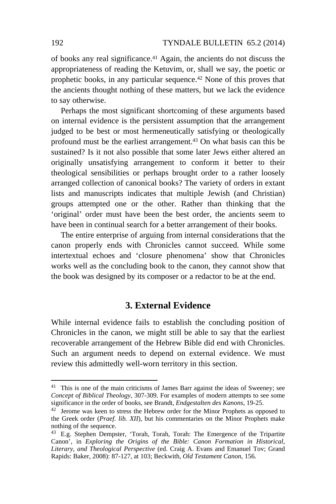of books any real significance.41 Again, the ancients do not discuss the appropriateness of reading the Ketuvim, or, shall we say, the poetic or prophetic books, in any particular sequence.42 None of this proves that the ancients thought nothing of these matters, but we lack the evidence to say otherwise.

Perhaps the most significant shortcoming of these arguments based on internal evidence is the persistent assumption that the arrangement judged to be best or most hermeneutically satisfying or theologically profound must be the earliest arrangement.43 On what basis can this be sustained? Is it not also possible that some later Jews either altered an originally unsatisfying arrangement to conform it better to their theological sensibilities or perhaps brought order to a rather loosely arranged collection of canonical books? The variety of orders in extant lists and manuscripts indicates that multiple Jewish (and Christian) groups attempted one or the other. Rather than thinking that the 'original' order must have been the best order, the ancients seem to have been in continual search for a better arrangement of their books.

The entire enterprise of arguing from internal considerations that the canon properly ends with Chronicles cannot succeed. While some intertextual echoes and 'closure phenomena' show that Chronicles works well as the concluding book to the canon, they cannot show that the book was designed by its composer or a redactor to be at the end.

## **3. External Evidence**

While internal evidence fails to establish the concluding position of Chronicles in the canon, we might still be able to say that the earliest recoverable arrangement of the Hebrew Bible did end with Chronicles. Such an argument needs to depend on external evidence. We must review this admittedly well-worn territory in this section.

<sup>&</sup>lt;sup>41</sup> This is one of the main criticisms of James Barr against the ideas of Sweeney; see *Concept of Biblical Theology*, 307-309. For examples of modern attempts to see some significance in the order of books, see Brandt, *Endgestalten des Kanons*, 19-25.

<sup>&</sup>lt;sup>42</sup> Jerome was keen to stress the Hebrew order for the Minor Prophets as opposed to the Greek order (*Praef. lib. XII*), but his commentaries on the Minor Prophets make nothing of the sequence.

<sup>43</sup> E.g. Stephen Dempster, 'Torah, Torah, Torah: The Emergence of the Tripartite Canon', in *Exploring the Origins of the Bible: Canon Formation in Historical, Literary, and Theological Perspective* (ed. Craig A. Evans and Emanuel Tov; Grand Rapids: Baker, 2008): 87-127, at 103; Beckwith, *Old Testament Canon*, 156.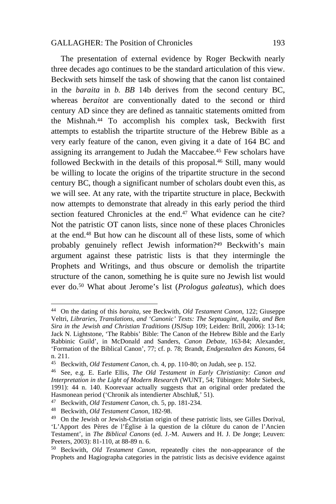The presentation of external evidence by Roger Beckwith nearly three decades ago continues to be the standard articulation of this view. Beckwith sets himself the task of showing that the canon list contained in the *baraita* in *b. BB* 14b derives from the second century BC, whereas *beraitot* are conventionally dated to the second or third century AD since they are defined as tannaitic statements omitted from the Mishnah.44 To accomplish his complex task, Beckwith first attempts to establish the tripartite structure of the Hebrew Bible as a very early feature of the canon, even giving it a date of 164 BC and assigning its arrangement to Judah the Maccabee.45 Few scholars have followed Beckwith in the details of this proposal.<sup>46</sup> Still, many would be willing to locate the origins of the tripartite structure in the second century BC, though a significant number of scholars doubt even this, as we will see. At any rate, with the tripartite structure in place, Beckwith now attempts to demonstrate that already in this early period the third section featured Chronicles at the end.<sup>47</sup> What evidence can he cite? Not the patristic OT canon lists, since none of these places Chronicles at the end.48 But how can he discount all of these lists, some of which probably genuinely reflect Jewish information?49 Beckwith's main argument against these patristic lists is that they intermingle the Prophets and Writings, and thus obscure or demolish the tripartite structure of the canon, something he is quite sure no Jewish list would ever do.50 What about Jerome's list (*Prologus galeatus*), which does

<sup>44</sup> On the dating of this *baraita*, see Beckwith, *Old Testament Canon*, 122; Giuseppe Veltri, *Libraries, Translations, and 'Canonic' Texts: The Septuagint, Aquila, and Ben Sira in the Jewish and Christian Traditions* (JSJSup 109; Leiden: Brill, 2006): 13-14; Jack N. Lightstone, 'The Rabbis' Bible: The Canon of the Hebrew Bible and the Early Rabbinic Guild', in McDonald and Sanders, *Canon Debate*, 163-84; Alexander, 'Formation of the Biblical Canon', 77; cf. p. 78; Brandt, *Endgestalten des Kanons*, 64 n. 211.<br><sup>45</sup> Beckwith, *Old Testament Canon*, ch. 4, pp. 110-80; on Judah, see p. 152.

<sup>&</sup>lt;sup>46</sup> See, e.g. E. Earle Ellis, *The Old Testament in Early Christianity: Canon and Interpretation in the Light of Modern Research* (WUNT, 54; Tübingen: Mohr Siebeck, 1991): 44 n. 140. Koorevaar actually suggests that an original order predated the Hasmonean period ('Chronik als intendierter Abschluß,' 51). 47 Beckwith, *Old Testament Canon*, ch. 5, pp. 181-234. 48 Beckwith, *Old Testament Canon*, 182-98.

<sup>49</sup> On the Jewish or Jewish-Christian origin of these patristic lists, see Gilles Dorival, 'L'Apport des Pères de l'Église à la question de la clôture du canon de l'Ancien Testament', in *The Biblical Canons* (ed. J.-M. Auwers and H. J. De Jonge; Leuven: Peeters, 2003): 81-110, at 88-89 n. 6.

<sup>50</sup> Beckwith, *Old Testament Canon*, repeatedly cites the non-appearance of the Prophets and Hagiographa categories in the patristic lists as decisive evidence against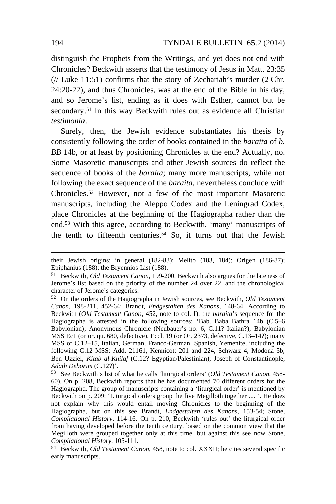distinguish the Prophets from the Writings, and yet does not end with Chronicles? Beckwith asserts that the testimony of Jesus in Matt. 23:35  $(\frac{1}{2}$  Luke 11:51) confirms that the story of Zechariah's murder (2 Chr. 24:20-22), and thus Chronicles, was at the end of the Bible in his day, and so Jerome's list, ending as it does with Esther, cannot but be secondary.<sup>51</sup> In this way Beckwith rules out as evidence all Christian *testimonia*.

Surely, then, the Jewish evidence substantiates his thesis by consistently following the order of books contained in the *baraita* of *b. BB* 14b, or at least by positioning Chronicles at the end? Actually, no. Some Masoretic manuscripts and other Jewish sources do reflect the sequence of books of the *baraita*; many more manuscripts, while not following the exact sequence of the *baraita*, nevertheless conclude with Chronicles.52 However, not a few of the most important Masoretic manuscripts, including the Aleppo Codex and the Leningrad Codex, place Chronicles at the beginning of the Hagiographa rather than the end.53 With this agree, according to Beckwith, 'many' manuscripts of the tenth to fifteenth centuries.54 So, it turns out that the Jewish

their Jewish origins: in general (182-83); Melito (183, 184); Origen (186-87); Epiphanius (188); the Bryennios List (188).

<sup>51</sup> Beckwith, *Old Testament Canon*, 199-200. Beckwith also argues for the lateness of Jerome's list based on the priority of the number 24 over 22, and the chronological character of Jerome's categories.

<sup>52</sup> On the orders of the Hagiographa in Jewish sources, see Beckwith, *Old Testament Canon*, 198-211, 452-64; Brandt, *Endgestalten des Kanons*, 148-64. According to Beckwith (*Old Testament Canon*, 452, note to col. I), the *baraita*'s sequence for the Hagiographa is attested in the following sources: 'Bab. Baba Bathra 14b (C.5–6 Babylonian); Anonymous Chronicle (Neubauer's no. 6, C.11? Italian?); Babylonian MSS Ec1 (or or. qu. 680, defective), Eccl. 19 (or Or. 2373, defective, C.13–14?); many MSS of C.12–15, Italian, German, Franco-German, Spanish, Yemenite, including the following C.12 MSS: Add. 21161, Kennicott 201 and 224, Schwarz 4, Modona 5b; Ben Uzziel, *Kitab al-Khilaf* (C.12? Egyptian/Palestinian); Joseph of Constantinople,

<sup>&</sup>lt;sup>53</sup> See Beckwith's list of what he calls 'liturgical orders' (*Old Testament Canon*, 458-60). On p. 208, Beckwith reports that he has documented 70 different orders for the Hagiographa. The group of manuscripts containing a 'liturgical order' is mentioned by Beckwith on p. 209: 'Liturgical orders group the five Megilloth together … '. He does not explain why this would entail moving Chronicles to the beginning of the Hagiographa, but on this see Brandt, *Endgestalten des Kanons*, 153-54; Stone, *Compilational History*, 114-16. On p. 210, Beckwith 'rules out' the liturgical order from having developed before the tenth century, based on the common view that the Megilloth were grouped together only at this time, but against this see now Stone, Compilational History, 105-111.

<sup>&</sup>lt;sup>54</sup> Beckwith, *Old Testament Canon*, 458, note to col. XXXII; he cites several specific early manuscripts.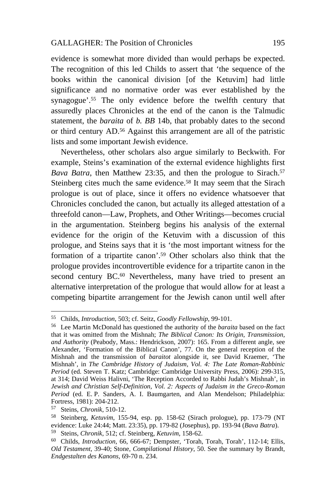evidence is somewhat more divided than would perhaps be expected. The recognition of this led Childs to assert that 'the sequence of the books within the canonical division [of the Ketuvim] had little significance and no normative order was ever established by the synagogue'.55 The only evidence before the twelfth century that assuredly places Chronicles at the end of the canon is the Talmudic statement, the *baraita* of *b. BB* 14b, that probably dates to the second or third century AD.56 Against this arrangement are all of the patristic lists and some important Jewish evidence.

Nevertheless, other scholars also argue similarly to Beckwith. For example, Steins's examination of the external evidence highlights first *Bava Batra*, then Matthew 23:35, and then the prologue to Sirach.<sup>57</sup> Steinberg cites much the same evidence.<sup>58</sup> It may seem that the Sirach prologue is out of place, since it offers no evidence whatsoever that Chronicles concluded the canon, but actually its alleged attestation of a threefold canon—Law, Prophets, and Other Writings—becomes crucial in the argumentation. Steinberg begins his analysis of the external evidence for the origin of the Ketuvim with a discussion of this prologue, and Steins says that it is 'the most important witness for the formation of a tripartite canon'.59 Other scholars also think that the prologue provides incontrovertible evidence for a tripartite canon in the second century BC.<sup>60</sup> Nevertheless, many have tried to present an alternative interpretation of the prologue that would allow for at least a competing bipartite arrangement for the Jewish canon until well after

<sup>55</sup> Childs, *Introduction*, 503; cf. Seitz, *Goodly Fellowship*, 99-101. 56 Lee Martin McDonald has questioned the authority of the *baraita* based on the fact that it was omitted from the Mishnah; *The Biblical Canon: Its Origin, Transmission, and Authority* (Peabody, Mass.: Hendrickson, 2007): 165. From a different angle, see Alexander, 'Formation of the Biblical Canon', 77. On the general reception of the Mishnah and the transmission of *baraitot* alongside it, see David Kraemer, 'The Mishnah', in *The Cambridge History of Judaism, Vol. 4: The Late Roman-Rabbinic Period* (ed. Steven T. Katz; Cambridge: Cambridge University Press, 2006): 299-315, at 314; David Weiss Halivni, 'The Reception Accorded to Rabbi Judah's Mishnah', in *Jewish and Christian Self-Definition, Vol. 2: Aspects of Judaism in the Greco-Roman Period* (ed. E. P. Sanders, A. I. Baumgarten, and Alan Mendelson; Philadelphia: Fortress, 1981): 204-212.

<sup>57</sup> Steins, *Chronik*, 510-12. 58 Steinberg, *Ketuvim*, 155-94, esp. pp. 158-62 (Sirach prologue), pp. 173-79 (NT evidence: Luke 24:44; Matt. 23:35), pp. 179-82 (Josephus), pp. 193-94 (*Bava Batra*).

<sup>59</sup> Steins, *Chronik*, 512; cf. Steinberg, *Ketuvim*, 158-62.

<sup>60</sup> Childs, *Introduction*, 66, 666-67; Dempster, 'Torah, Torah, Torah', 112-14; Ellis, *Old Testament*, 39-40; Stone, *Compilational History*, 50. See the summary by Brandt, *Endgestalten des Kanons*, 69-70 n. 234.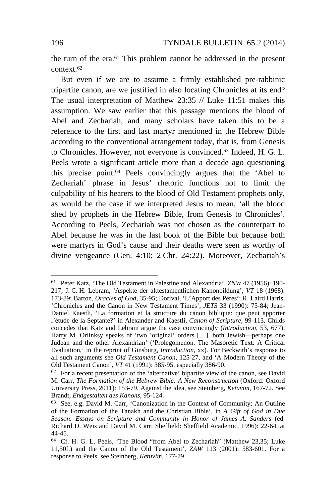the turn of the era.61 This problem cannot be addressed in the present context.62

But even if we are to assume a firmly established pre-rabbinic tripartite canon, are we justified in also locating Chronicles at its end? The usual interpretation of Matthew 23:35 // Luke 11:51 makes this assumption. We saw earlier that this passage mentions the blood of Abel and Zechariah, and many scholars have taken this to be a reference to the first and last martyr mentioned in the Hebrew Bible according to the conventional arrangement today, that is, from Genesis to Chronicles. However, not everyone is convinced.63 Indeed, H. G. L. Peels wrote a significant article more than a decade ago questioning this precise point.64 Peels convincingly argues that the 'Abel to Zechariah' phrase in Jesus' rhetoric functions not to limit the culpability of his hearers to the blood of Old Testament prophets only, as would be the case if we interpreted Jesus to mean, 'all the blood shed by prophets in the Hebrew Bible, from Genesis to Chronicles'. According to Peels, Zechariah was not chosen as the counterpart to Abel because he was in the last book of the Bible but because both were martyrs in God's cause and their deaths were seen as worthy of divine vengeance (Gen. 4:10; 2 Chr. 24:22). Moreover, Zechariah's

<sup>61</sup> Peter Katz, 'The Old Testament in Palestine and Alexandria', *ZNW* 47 (1956): 190- 217; J. C. H. Lebram, 'Aspekte der alttestamentlichen Kanonbildung', *VT* 18 (1968): 173-89; Barton, *Oracles of God*, 35-95; Dorival, 'L'Apport des Pères'; R. Laird Harris, 'Chronicles and the Canon in New Testament Times', *JETS* 33 (1990): 75-84; Jean-Daniel Kaestli, 'La formation et la structure du canon biblique: que peut apporter l'étude de la Septante?' in Alexander and Kaestli, *Canon of Scripture*, 99-113. Childs concedes that Katz and Lebram argue the case convincingly (*Introduction*, 53, 677). Harry M. Orlinksy speaks of 'two 'original' orders [...], both Jewish—perhaps one Judean and the other Alexandrian' ('Prolegomenon. The Masoretic Text: A Critical Evaluation,' in the reprint of Ginsburg, *Introduction*, xx). For Beckwith's response to all such arguments see *Old Testament Canon*, 125-27, and 'A Modern Theory of the Old Testament Canon', *VT* 41 (1991): 385-95, especially 386-90.<br><sup>62</sup> For a recent presentation of the 'alternative' bipartite view of the canon, see David

M. Carr, *The Formation of the Hebrew Bible: A New Reconstruction* (Oxford: Oxford University Press, 2011): 153-79. Against the idea, see Steinberg, *Ketuvim*, 167-72. See Brandt, *Endgestalten des Kanons*, 95-124.<br><sup>63</sup> See, e.g. David M. Carr, 'Canonization in the Context of Community: An Outline

of the Formation of the Tanakh and the Christian Bible', in *A Gift of God in Due Season: Essays on Scripture and Community in Honor of James A. Sanders* (ed. Richard D. Weis and David M. Carr; Sheffield: Sheffield Academic, 1996): 22-64, at 44-45.

<sup>64</sup> Cf. H. G. L. Peels, 'The Blood "from Abel to Zechariah" (Matthew 23,35; Luke 11,50f.) and the Canon of the Old Testament', *ZAW* 113 (2001): 583-601. For a response to Peels, see Steinberg, *Ketuvim*, 177-79.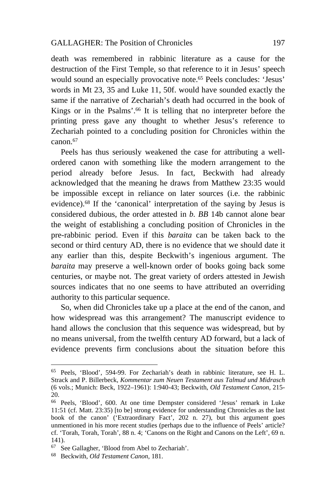death was remembered in rabbinic literature as a cause for the destruction of the First Temple, so that reference to it in Jesus' speech would sound an especially provocative note.65 Peels concludes: 'Jesus' words in Mt 23, 35 and Luke 11, 50f. would have sounded exactly the same if the narrative of Zechariah's death had occurred in the book of Kings or in the Psalms'.66 It is telling that no interpreter before the printing press gave any thought to whether Jesus's reference to Zechariah pointed to a concluding position for Chronicles within the canon.67

Peels has thus seriously weakened the case for attributing a wellordered canon with something like the modern arrangement to the period already before Jesus. In fact, Beckwith had already acknowledged that the meaning he draws from Matthew 23:35 would be impossible except in reliance on later sources (i.e. the rabbinic evidence).68 If the 'canonical' interpretation of the saying by Jesus is considered dubious, the order attested in *b. BB* 14b cannot alone bear the weight of establishing a concluding position of Chronicles in the pre-rabbinic period. Even if this *baraita* can be taken back to the second or third century AD, there is no evidence that we should date it any earlier than this, despite Beckwith's ingenious argument. The *baraita* may preserve a well-known order of books going back some centuries, or maybe not. The great variety of orders attested in Jewish sources indicates that no one seems to have attributed an overriding authority to this particular sequence.

So, when did Chronicles take up a place at the end of the canon, and how widespread was this arrangement? The manuscript evidence to hand allows the conclusion that this sequence was widespread, but by no means universal, from the twelfth century AD forward, but a lack of evidence prevents firm conclusions about the situation before this

<sup>65</sup> Peels, 'Blood', 594-99. For Zechariah's death in rabbinic literature, see H. L. Strack and P. Billerbeck, *Kommentar zum Neuen Testament aus Talmud und Midrasch* (6 vols.; Munich: Beck, 1922–1961): 1:940-43; Beckwith, *Old Testament Canon*, 215- 20.

<sup>66</sup> Peels, 'Blood', 600. At one time Dempster considered 'Jesus' remark in Luke 11:51 (cf. Matt. 23:35) [to be] strong evidence for understanding Chronicles as the last book of the canon' ('Extraordinary Fact', 202 n. 27), but this argument goes unmentioned in his more recent studies (perhaps due to the influence of Peels' article? cf. 'Torah, Torah, Torah', 88 n. 4; 'Canons on the Right and Canons on the Left', 69 n. 141).

<sup>67</sup> See Gallagher, 'Blood from Abel to Zechariah'.

<sup>68</sup> Beckwith, *Old Testament Canon*, 181.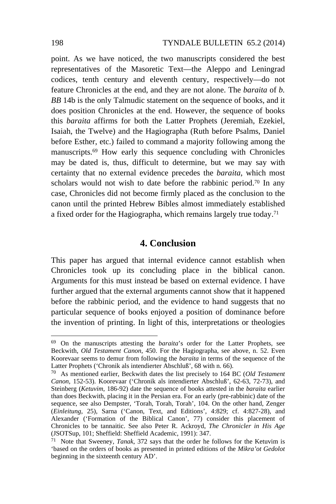point. As we have noticed, the two manuscripts considered the best representatives of the Masoretic Text—the Aleppo and Leningrad codices, tenth century and eleventh century, respectively—do not feature Chronicles at the end, and they are not alone. The *baraita* of *b. BB* 14b is the only Talmudic statement on the sequence of books, and it does position Chronicles at the end. However, the sequence of books this *baraita* affirms for both the Latter Prophets (Jeremiah, Ezekiel, Isaiah, the Twelve) and the Hagiographa (Ruth before Psalms, Daniel before Esther, etc.) failed to command a majority following among the manuscripts.69 How early this sequence concluding with Chronicles may be dated is, thus, difficult to determine, but we may say with certainty that no external evidence precedes the *baraita*, which most scholars would not wish to date before the rabbinic period.<sup>70</sup> In any case, Chronicles did not become firmly placed as the conclusion to the canon until the printed Hebrew Bibles almost immediately established a fixed order for the Hagiographa, which remains largely true today.71

## **4. Conclusion**

This paper has argued that internal evidence cannot establish when Chronicles took up its concluding place in the biblical canon. Arguments for this must instead be based on external evidence. I have further argued that the external arguments cannot show that it happened before the rabbinic period, and the evidence to hand suggests that no particular sequence of books enjoyed a position of dominance before the invention of printing. In light of this, interpretations or theologies

<sup>69</sup> On the manuscripts attesting the *baraita*'s order for the Latter Prophets, see Beckwith, *Old Testament Canon*, 450. For the Hagiographa, see above, n. 52. Even Koorevaar seems to demur from following the *baraita* in terms of the sequence of the Latter Prophets ('Chronik als intendierter Abschluß', 68 with n. 66).

<sup>70</sup> As mentioned earlier, Beckwith dates the list precisely to 164 BC (*Old Testament Canon*, 152-53). Koorevaar ('Chronik als intendierter Abschluß', 62-63, 72-73), and Steinberg (*Ketuvim*, 186-92) date the sequence of books attested in the *baraita* earlier than does Beckwith, placing it in the Persian era. For an early (pre-rabbinic) date of the sequence, see also Dempster, 'Torah, Torah, Torah', 104. On the other hand, Zenger (*Einleitung*, 25), Sarna ('Canon, Text, and Editions', 4:829; cf. 4:827-28), and Alexander ('Formation of the Biblical Canon', 77) consider this placement of Chronicles to be tannaitic. See also Peter R. Ackroyd, *The Chronicler in His Age* (JSOTSup, 101; Sheffield: Sheffield Academic, 1991): 347. 71 Note that Sweeney, *Tanak*, 372 says that the order he follows for the Ketuvim is

<sup>&#</sup>x27;based on the orders of books as presented in printed editions of the *Mikra'ot Gedolot* beginning in the sixteenth century AD'.